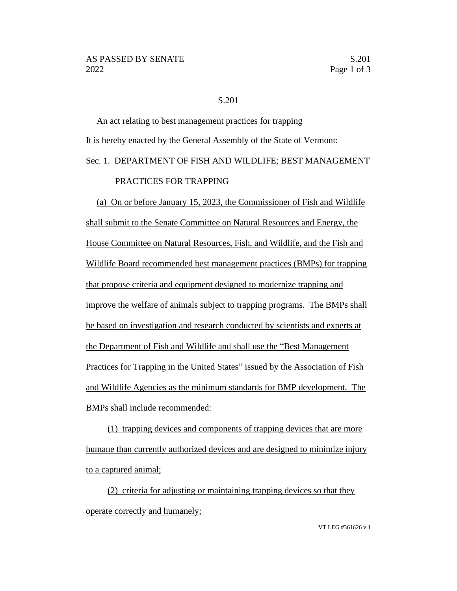## S.201

An act relating to best management practices for trapping It is hereby enacted by the General Assembly of the State of Vermont: Sec. 1. DEPARTMENT OF FISH AND WILDLIFE; BEST MANAGEMENT PRACTICES FOR TRAPPING

(a) On or before January 15, 2023, the Commissioner of Fish and Wildlife shall submit to the Senate Committee on Natural Resources and Energy, the House Committee on Natural Resources, Fish, and Wildlife, and the Fish and Wildlife Board recommended best management practices (BMPs) for trapping that propose criteria and equipment designed to modernize trapping and improve the welfare of animals subject to trapping programs. The BMPs shall be based on investigation and research conducted by scientists and experts at the Department of Fish and Wildlife and shall use the "Best Management Practices for Trapping in the United States" issued by the Association of Fish and Wildlife Agencies as the minimum standards for BMP development. The BMPs shall include recommended:

(1) trapping devices and components of trapping devices that are more humane than currently authorized devices and are designed to minimize injury to a captured animal;

(2) criteria for adjusting or maintaining trapping devices so that they operate correctly and humanely;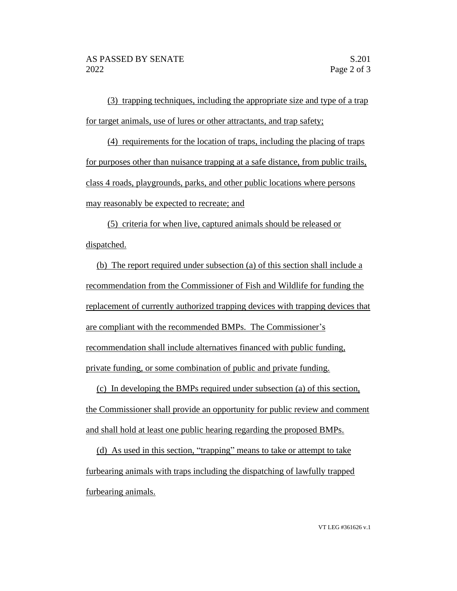(3) trapping techniques, including the appropriate size and type of a trap for target animals, use of lures or other attractants, and trap safety;

(4) requirements for the location of traps, including the placing of traps for purposes other than nuisance trapping at a safe distance, from public trails, class 4 roads, playgrounds, parks, and other public locations where persons may reasonably be expected to recreate; and

(5) criteria for when live, captured animals should be released or dispatched.

(b) The report required under subsection (a) of this section shall include a recommendation from the Commissioner of Fish and Wildlife for funding the replacement of currently authorized trapping devices with trapping devices that are compliant with the recommended BMPs. The Commissioner's recommendation shall include alternatives financed with public funding, private funding, or some combination of public and private funding.

(c) In developing the BMPs required under subsection (a) of this section, the Commissioner shall provide an opportunity for public review and comment and shall hold at least one public hearing regarding the proposed BMPs.

(d) As used in this section, "trapping" means to take or attempt to take furbearing animals with traps including the dispatching of lawfully trapped furbearing animals.